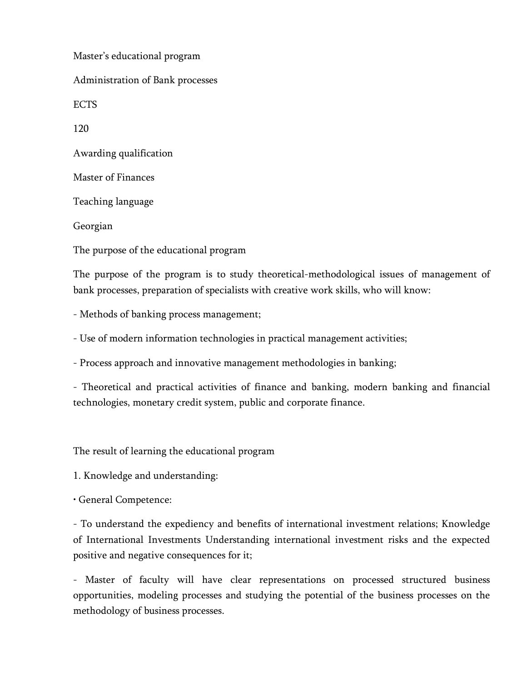Master's educational program Administration of Bank processes ECTS 120 Awarding qualification Master of Finances Teaching language Georgian The purpose of the educational program

The purpose of the program is to study theoretical-methodological issues of management of bank processes, preparation of specialists with creative work skills, who will know:

- Methods of banking process management;

- Use of modern information technologies in practical management activities;

- Process approach and innovative management methodologies in banking;

- Theoretical and practical activities of finance and banking, modern banking and financial technologies, monetary credit system, public and corporate finance.

The result of learning the educational program

1. Knowledge and understanding:

• General Competence:

- To understand the expediency and benefits of international investment relations; Knowledge of International Investments Understanding international investment risks and the expected positive and negative consequences for it;

- Master of faculty will have clear representations on processed structured business opportunities, modeling processes and studying the potential of the business processes on the methodology of business processes.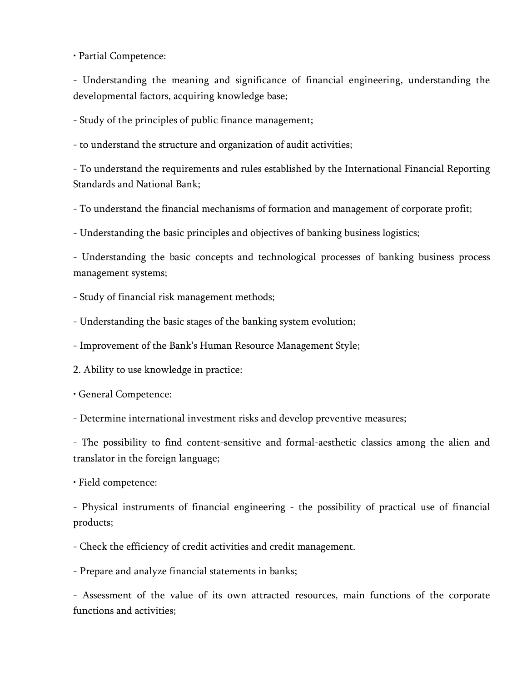• Partial Competence:

- Understanding the meaning and significance of financial engineering, understanding the developmental factors, acquiring knowledge base;

- Study of the principles of public finance management;

- to understand the structure and organization of audit activities;

- To understand the requirements and rules established by the International Financial Reporting Standards and National Bank;

- To understand the financial mechanisms of formation and management of corporate profit;

- Understanding the basic principles and objectives of banking business logistics;

- Understanding the basic concepts and technological processes of banking business process management systems;

- Study of financial risk management methods;

- Understanding the basic stages of the banking system evolution;

- Improvement of the Bank's Human Resource Management Style;

2. Ability to use knowledge in practice:

• General Competence:

- Determine international investment risks and develop preventive measures;

- The possibility to find content-sensitive and formal-aesthetic classics among the alien and translator in the foreign language;

• Field competence:

- Physical instruments of financial engineering - the possibility of practical use of financial products;

- Check the efficiency of credit activities and credit management.

- Prepare and analyze financial statements in banks;

- Assessment of the value of its own attracted resources, main functions of the corporate functions and activities;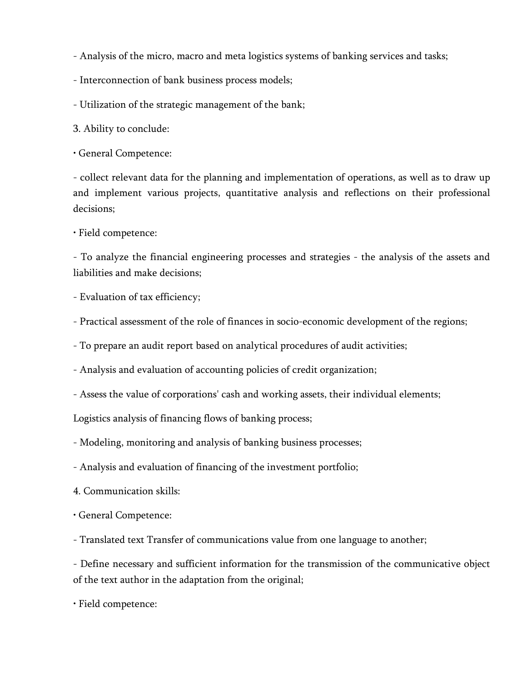- Analysis of the micro, macro and meta logistics systems of banking services and tasks;

- Interconnection of bank business process models;

- Utilization of the strategic management of the bank;

3. Ability to conclude:

• General Competence:

- collect relevant data for the planning and implementation of operations, as well as to draw up and implement various projects, quantitative analysis and reflections on their professional decisions;

• Field competence:

- To analyze the financial engineering processes and strategies - the analysis of the assets and liabilities and make decisions;

- Evaluation of tax efficiency;

- Practical assessment of the role of finances in socio-economic development of the regions;

- To prepare an audit report based on analytical procedures of audit activities;

- Analysis and evaluation of accounting policies of credit organization;

- Assess the value of corporations' cash and working assets, their individual elements;

Logistics analysis of financing flows of banking process;

- Modeling, monitoring and analysis of banking business processes;

- Analysis and evaluation of financing of the investment portfolio;

4. Communication skills:

• General Competence:

- Translated text Transfer of communications value from one language to another;

- Define necessary and sufficient information for the transmission of the communicative object of the text author in the adaptation from the original;

• Field competence: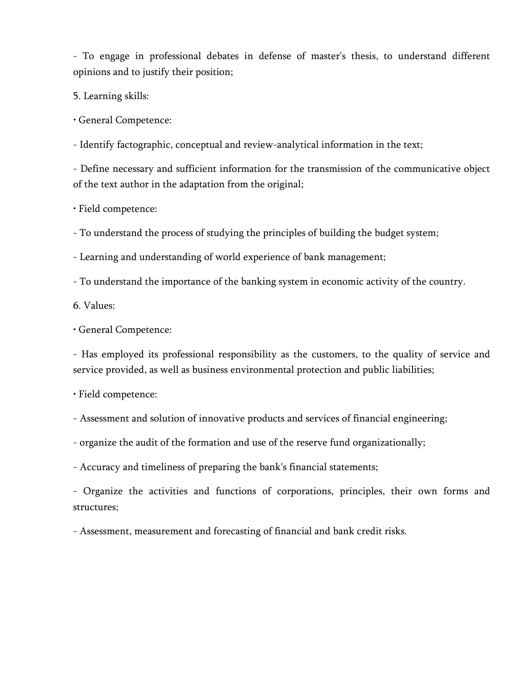- To engage in professional debates in defense of master's thesis, to understand different opinions and to justify their position;

5. Learning skills:

• General Competence:

- Identify factographic, conceptual and review-analytical information in the text;

- Define necessary and sufficient information for the transmission of the communicative object of the text author in the adaptation from the original;

• Field competence:

- To understand the process of studying the principles of building the budget system;

- Learning and understanding of world experience of bank management;

- To understand the importance of the banking system in economic activity of the country.

6. Values:

• General Competence:

- Has employed its professional responsibility as the customers, to the quality of service and service provided, as well as business environmental protection and public liabilities;

• Field competence:

- Assessment and solution of innovative products and services of financial engineering;

- organize the audit of the formation and use of the reserve fund organizationally;

- Accuracy and timeliness of preparing the bank's financial statements;

- Organize the activities and functions of corporations, principles, their own forms and structures;

- Assessment, measurement and forecasting of financial and bank credit risks.